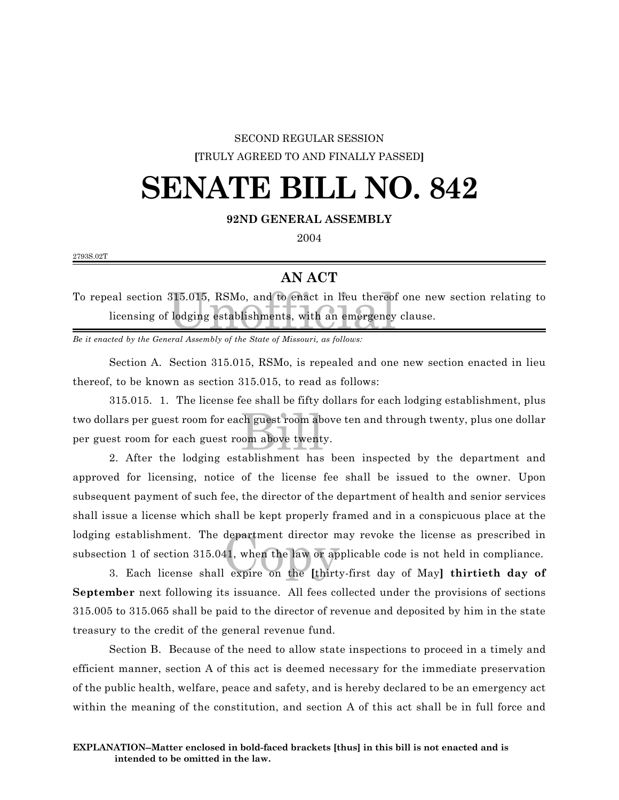#### SECOND REGULAR SESSION **[**TRULY AGREED TO AND FINALLY PASSED**]**

### **SENATE BILL NO. 842**

#### **92ND GENERAL ASSEMBLY**

2004

2793S.02T

#### **AN ACT**

315.015, RSMo, and to enact in lieu thereof<br>clodging establishments, with an emergency To repeal section 315.015, RSMo, and to enact in lieu thereof one new section relating to licensing of lodging establishments, with an emergency clause.

*Be it enacted by the General Assembly of the State of Missouri, as follows:*

Section A. Section 315.015, RSMo, is repealed and one new section enacted in lieu thereof, to be known as section 315.015, to read as follows:

ch guest room ab<br>bom above twent<br>tablishment, has 315.015. 1. The license fee shall be fifty dollars for each lodging establishment, plus two dollars per guest room for each guest room above ten and through twenty, plus one dollar per guest room for each guest room above twenty.

department director m<br>41, when the law or ap<br>expire on the [thirt] 2. After the lodging establishment has been inspected by the department and approved for licensing, notice of the license fee shall be issued to the owner. Upon subsequent payment of such fee, the director of the department of health and senior services shall issue a license which shall be kept properly framed and in a conspicuous place at the lodging establishment. The department director may revoke the license as prescribed in subsection 1 of section 315.041, when the law or applicable code is not held in compliance.

3. Each license shall expire on the **[**thirty-first day of May**] thirtieth day of September** next following its issuance. All fees collected under the provisions of sections 315.005 to 315.065 shall be paid to the director of revenue and deposited by him in the state treasury to the credit of the general revenue fund.

Section B. Because of the need to allow state inspections to proceed in a timely and efficient manner, section A of this act is deemed necessary for the immediate preservation of the public health, welfare, peace and safety, and is hereby declared to be an emergency act within the meaning of the constitution, and section A of this act shall be in full force and